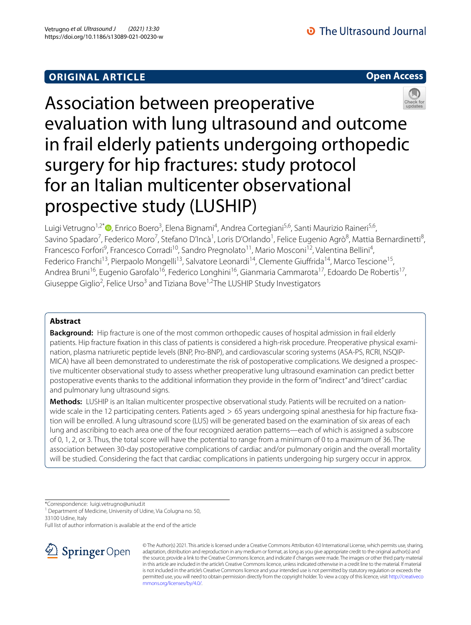## **ORIGINAL ARTICLE**





# Association between preoperative evaluation with lung ultrasound and outcome in frail elderly patients undergoing orthopedic surgery for hip fractures: study protocol for an Italian multicenter observational prospective study (LUSHIP)

Luigi Vetrugno<sup>1[,](http://orcid.org/0000-0003-3745-8368)2\*</sup>®, Enrico Boero<sup>3</sup>, Elena Bignami<sup>4</sup>, Andrea Cortegiani<sup>5,6</sup>, Santi Maurizio Raineri<sup>5,6</sup>, Savino Spadaro<sup>7</sup>, Federico Moro<sup>7</sup>, Stefano D'Incà<sup>1</sup>, Loris D'Orlando<sup>1</sup>, Felice Eugenio Agrò<sup>8</sup>, Mattia Bernardinetti<sup>8</sup>, Francesco Forfori<sup>9</sup>, Francesco Corradi<sup>10</sup>, Sandro Pregnolato<sup>11</sup>, Mario Mosconi<sup>12</sup>, Valentina Bellini<sup>4</sup>, Federico Franchi<sup>13</sup>, Pierpaolo Mongelli<sup>13</sup>, Salvatore Leonardi<sup>14</sup>, Clemente Giuffrida<sup>14</sup>, Marco Tescione<sup>15</sup>, Andrea Bruni<sup>16</sup>, Eugenio Garofalo<sup>16</sup>, Federico Longhini<sup>16</sup>, Gianmaria Cammarota<sup>17</sup>, Edoardo De Robertis<sup>17</sup>, Giuseppe Giglio<sup>2</sup>, Felice Urso<sup>3</sup> and Tiziana Bove<sup>1,2</sup>The LUSHIP Study Investigators

## **Abstract**

**Background:** Hip fracture is one of the most common orthopedic causes of hospital admission in frail elderly patients. Hip fracture fxation in this class of patients is considered a high-risk procedure. Preoperative physical examination, plasma natriuretic peptide levels (BNP, Pro-BNP), and cardiovascular scoring systems (ASA-PS, RCRI, NSQIP-MICA) have all been demonstrated to underestimate the risk of postoperative complications. We designed a prospective multicenter observational study to assess whether preoperative lung ultrasound examination can predict better postoperative events thanks to the additional information they provide in the form of "indirect" and "direct" cardiac and pulmonary lung ultrasound signs.

**Methods:** LUSHIP is an Italian multicenter prospective observational study. Patients will be recruited on a nationwide scale in the 12 participating centers. Patients aged > 65 years undergoing spinal anesthesia for hip fracture fxation will be enrolled. A lung ultrasound score (LUS) will be generated based on the examination of six areas of each lung and ascribing to each area one of the four recognized aeration patterns—each of which is assigned a subscore of 0, 1, 2, or 3. Thus, the total score will have the potential to range from a minimum of 0 to a maximum of 36. The association between 30-day postoperative complications of cardiac and/or pulmonary origin and the overall mortality will be studied. Considering the fact that cardiac complications in patients undergoing hip surgery occur in approx.

\*Correspondence: luigi.vetrugno@uniud.it

<sup>1</sup> Department of Medicine, University of Udine, Via Colugna no. 50, 33100 Udine, Italy

Full list of author information is available at the end of the article



© The Author(s) 2021. This article is licensed under a Creative Commons Attribution 4.0 International License, which permits use, sharing, adaptation, distribution and reproduction in any medium or format, as long as you give appropriate credit to the original author(s) and the source, provide a link to the Creative Commons licence, and indicate if changes were made. The images or other third party material in this article are included in the article's Creative Commons licence, unless indicated otherwise in a credit line to the material. If material is not included in the article's Creative Commons licence and your intended use is not permitted by statutory regulation or exceeds the permitted use, you will need to obtain permission directly from the copyright holder. To view a copy of this licence, visit [http://creativeco](http://creativecommons.org/licenses/by/4.0/) [mmons.org/licenses/by/4.0/.](http://creativecommons.org/licenses/by/4.0/)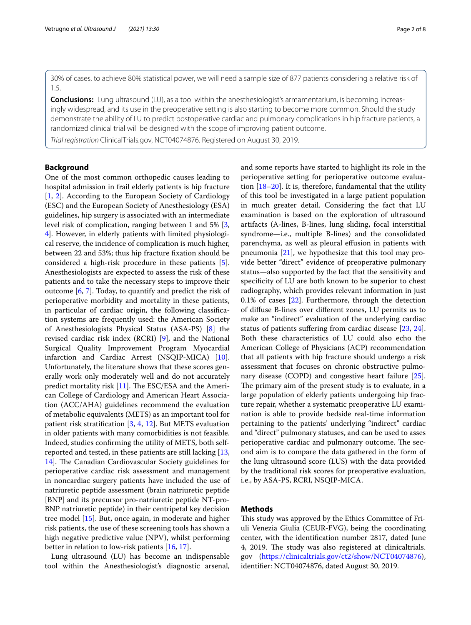30% of cases, to achieve 80% statistical power, we will need a sample size of 877 patients considering a relative risk of 1.5.

**Conclusions:** Lung ultrasound (LU), as a tool within the anesthesiologist's armamentarium, is becoming increasingly widespread, and its use in the preoperative setting is also starting to become more common. Should the study demonstrate the ability of LU to predict postoperative cardiac and pulmonary complications in hip fracture patients, a randomized clinical trial will be designed with the scope of improving patient outcome.

*Trial registration* ClinicalTrials.gov, NCT04074876. Registered on August 30, 2019.

## **Background**

One of the most common orthopedic causes leading to hospital admission in frail elderly patients is hip fracture [[1,](#page-5-0) [2](#page-6-0)]. According to the European Society of Cardiology (ESC) and the European Society of Anesthesiology (ESA) guidelines, hip surgery is associated with an intermediate level risk of complication, ranging between 1 and 5% [\[3](#page-6-1), [4\]](#page-6-2). However, in elderly patients with limited physiological reserve, the incidence of complication is much higher, between 22 and 53%; thus hip fracture fxation should be considered a high-risk procedure in these patients [\[5](#page-6-3)]. Anesthesiologists are expected to assess the risk of these patients and to take the necessary steps to improve their outcome [\[6](#page-6-4), [7](#page-6-5)]. Today, to quantify and predict the risk of perioperative morbidity and mortality in these patients, in particular of cardiac origin, the following classifcation systems are frequently used: the American Society of Anesthesiologists Physical Status (ASA-PS) [\[8](#page-6-6)] the revised cardiac risk index (RCRI) [[9\]](#page-6-7), and the National Surgical Quality Improvement Program Myocardial infarction and Cardiac Arrest (NSQIP-MICA) [\[10](#page-6-8)]. Unfortunately, the literature shows that these scores generally work only moderately well and do not accurately predict mortality risk  $[11]$ . The ESC/ESA and the American College of Cardiology and American Heart Association (ACC/AHA) guidelines recommend the evaluation of metabolic equivalents (METS) as an important tool for patient risk stratifcation [[3,](#page-6-1) [4,](#page-6-2) [12\]](#page-6-10). But METS evaluation in older patients with many comorbidities is not feasible. Indeed, studies confrming the utility of METS, both selfreported and tested, in these patients are still lacking [\[13](#page-6-11), 14. The Canadian Cardiovascular Society guidelines for perioperative cardiac risk assessment and management in noncardiac surgery patients have included the use of natriuretic peptide assessment (brain natriuretic peptide [BNP] and its precursor pro-natriuretic peptide NT-pro-BNP natriuretic peptide) in their centripetal key decision tree model [\[15\]](#page-6-13). But, once again, in moderate and higher risk patients, the use of these screening tools has shown a high negative predictive value (NPV), whilst performing better in relation to low-risk patients [\[16,](#page-6-14) [17](#page-6-15)].

Lung ultrasound (LU) has become an indispensable tool within the Anesthesiologist's diagnostic arsenal, and some reports have started to highlight its role in the perioperative setting for perioperative outcome evaluation  $[18–20]$  $[18–20]$ . It is, therefore, fundamental that the utility of this tool be investigated in a large patient population in much greater detail. Considering the fact that LU examination is based on the exploration of ultrasound artifacts (A-lines, B-lines, lung sliding, focal interstitial syndrome—i.e., multiple B-lines) and the consolidated parenchyma, as well as pleural efusion in patients with pneumonia [[21\]](#page-6-18), we hypothesize that this tool may provide better "direct" evidence of preoperative pulmonary status—also supported by the fact that the sensitivity and specifcity of LU are both known to be superior to chest radiography, which provides relevant information in just 0.1% of cases [\[22\]](#page-6-19). Furthermore, through the detection of difuse B-lines over diferent zones, LU permits us to make an "indirect" evaluation of the underlying cardiac status of patients suffering from cardiac disease [\[23](#page-6-20), [24](#page-6-21)]. Both these characteristics of LU could also echo the American College of Physicians (ACP) recommendation that all patients with hip fracture should undergo a risk assessment that focuses on chronic obstructive pulmonary disease (COPD) and congestive heart failure [\[25](#page-6-22)]. The primary aim of the present study is to evaluate, in a large population of elderly patients undergoing hip fracture repair, whether a systematic preoperative LU examination is able to provide bedside real-time information pertaining to the patients' underlying "indirect" cardiac and "direct" pulmonary statuses, and can be used to asses perioperative cardiac and pulmonary outcome. The second aim is to compare the data gathered in the form of the lung ultrasound score (LUS) with the data provided by the traditional risk scores for preoperative evaluation, i.e., by ASA-PS, RCRI, NSQIP-MICA.

## **Methods**

This study was approved by the Ethics Committee of Friuli Venezia Giulia (CEUR-FVG), being the coordinating center, with the identifcation number 2817, dated June 4, 2019. The study was also registered at clinicaltrials. gov (<https://clinicaltrials.gov/ct2/show/NCT04074876>), identifer: NCT04074876, dated August 30, 2019.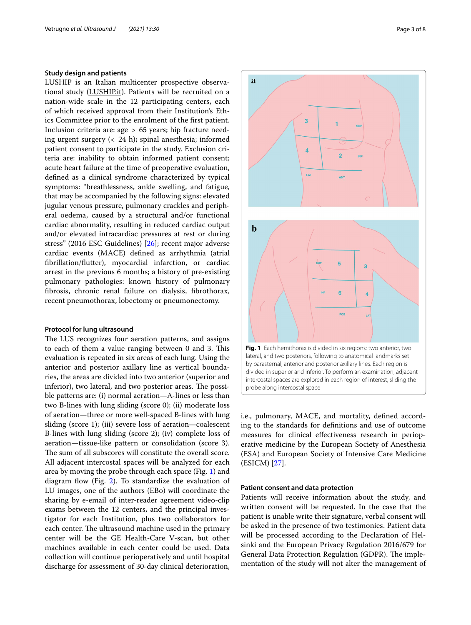## **Study design and patients**

LUSHIP is an Italian multicenter prospective observational study (LUSHIP.it). Patients will be recruited on a nation-wide scale in the 12 participating centers, each of which received approval from their Institution's Ethics Committee prior to the enrolment of the frst patient. Inclusion criteria are: age > 65 years; hip fracture needing urgent surgery (< 24 h); spinal anesthesia; informed patient consent to participate in the study. Exclusion criteria are: inability to obtain informed patient consent; acute heart failure at the time of preoperative evaluation, defned as a clinical syndrome characterized by typical symptoms: "breathlessness, ankle swelling, and fatigue, that may be accompanied by the following signs: elevated jugular venous pressure, pulmonary crackles and peripheral oedema, caused by a structural and/or functional cardiac abnormality, resulting in reduced cardiac output and/or elevated intracardiac pressures at rest or during stress" (2016 ESC Guidelines) [[26\]](#page-6-23); recent major adverse cardiac events (MACE) defned as arrhythmia (atrial fbrillation/futter), myocardial infarction, or cardiac arrest in the previous 6 months; a history of pre-existing pulmonary pathologies: known history of pulmonary fbrosis, chronic renal failure on dialysis, fbrothorax, recent pneumothorax, lobectomy or pneumonectomy.

#### **Protocol for lung ultrasound**

The LUS recognizes four aeration patterns, and assigns to each of them a value ranging between 0 and 3. This evaluation is repeated in six areas of each lung. Using the anterior and posterior axillary line as vertical boundaries, the areas are divided into two anterior (superior and inferior), two lateral, and two posterior areas. The possible patterns are: (i) normal aeration—A-lines or less than two B-lines with lung sliding (score 0); (ii) moderate loss of aeration—three or more well-spaced B-lines with lung sliding (score 1); (iii) severe loss of aeration—coalescent B-lines with lung sliding (score 2); (iv) complete loss of aeration—tissue-like pattern or consolidation (score 3). The sum of all subscores will constitute the overall score. All adjacent intercostal spaces will be analyzed for each area by moving the probe through each space (Fig. [1\)](#page-2-0) and diagram flow (Fig.  $2$ ). To standardize the evaluation of LU images, one of the authors (EBo) will coordinate the sharing by e-email of inter-reader agreement video-clip exams between the 12 centers, and the principal investigator for each Institution, plus two collaborators for each center. The ultrasound machine used in the primary center will be the GE Health-Care V-scan, but other machines available in each center could be used. Data collection will continue perioperatively and until hospital discharge for assessment of 30-day clinical deterioration,



<span id="page-2-0"></span>i.e., pulmonary, MACE, and mortality, defned according to the standards for defnitions and use of outcome measures for clinical efectiveness research in perioperative medicine by the European Society of Anesthesia (ESA) and European Society of Intensive Care Medicine (ESICM) [[27](#page-6-24)].

## **Patient consent and data protection**

Patients will receive information about the study, and written consent will be requested. In the case that the patient is unable write their signature, verbal consent will be asked in the presence of two testimonies. Patient data will be processed according to the Declaration of Helsinki and the European Privacy Regulation 2016/679 for General Data Protection Regulation (GDPR). The implementation of the study will not alter the management of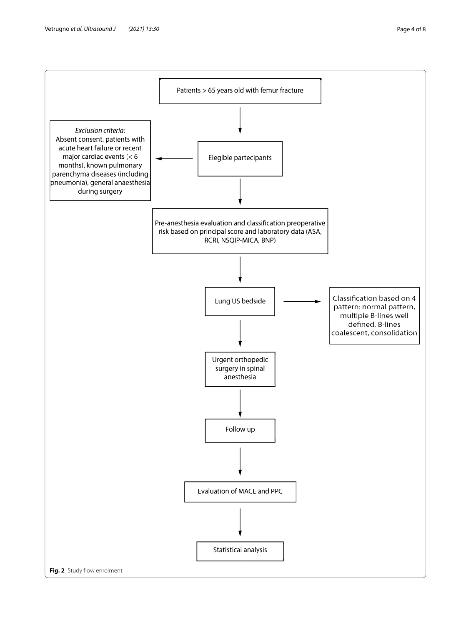<span id="page-3-0"></span>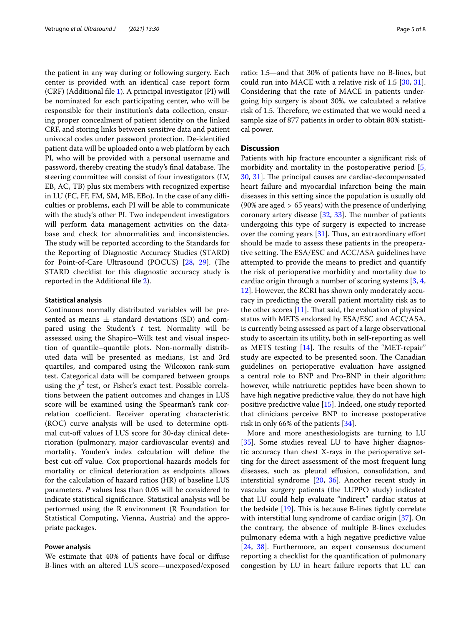the patient in any way during or following surgery. Each center is provided with an identical case report form (CRF) (Additional fle [1](#page-5-1)). A principal investigator (PI) will be nominated for each participating center, who will be responsible for their institution's data collection, ensuring proper concealment of patient identity on the linked CRF, and storing links between sensitive data and patient univocal codes under password protection. De-identifed patient data will be uploaded onto a web platform by each PI, who will be provided with a personal username and password, thereby creating the study's final database. The steering committee will consist of four investigators (LV, EB, AC, TB) plus six members with recognized expertise in LU (FC, FF, FM, SM, MB, EBo). In the case of any difficulties or problems, each PI will be able to communicate with the study's other PI. Two independent investigators will perform data management activities on the database and check for abnormalities and inconsistencies. The study will be reported according to the Standards for the Reporting of Diagnostic Accuracy Studies (STARD) for Point-of-Care Ultrasound (POCUS) [\[28,](#page-6-25) [29](#page-6-26)]. (The STARD checklist for this diagnostic accuracy study is reported in the Additional fle [2\)](#page-5-2).

#### **Statistical analysis**

Continuous normally distributed variables will be presented as means  $\pm$  standard deviations (SD) and compared using the Student's *t* test. Normality will be assessed using the Shapiro–Wilk test and visual inspection of quantile–quantile plots. Non-normally distributed data will be presented as medians, 1st and 3rd quartiles, and compared using the Wilcoxon rank-sum test. Categorical data will be compared between groups using the  $\chi^2$  test, or Fisher's exact test. Possible correlations between the patient outcomes and changes in LUS score will be examined using the Spearman's rank correlation coefficient. Receiver operating characteristic (ROC) curve analysis will be used to determine optimal cut-off values of LUS score for 30-day clinical deterioration (pulmonary, major cardiovascular events) and mortality. Youden's index calculation will defne the best cut-off value. Cox proportional-hazards models for mortality or clinical deterioration as endpoints allows for the calculation of hazard ratios (HR) of baseline LUS parameters. *P* values less than 0.05 will be considered to indicate statistical signifcance. Statistical analysis will be performed using the R environment (R Foundation for Statistical Computing, Vienna, Austria) and the appropriate packages.

## **Power analysis**

We estimate that 40% of patients have focal or difuse B-lines with an altered LUS score—unexposed/exposed ratio: 1.5—and that 30% of patients have no B-lines, but could run into MACE with a relative risk of 1.5 [\[30](#page-6-27), [31](#page-7-0)]. Considering that the rate of MACE in patients undergoing hip surgery is about 30%, we calculated a relative risk of 1.5. Therefore, we estimated that we would need a sample size of 877 patients in order to obtain 80% statistical power.

#### **Discussion**

Patients with hip fracture encounter a signifcant risk of morbidity and mortality in the postoperative period [\[5](#page-6-3), [30,](#page-6-27) [31\]](#page-7-0). The principal causes are cardiac-decompensated heart failure and myocardial infarction being the main diseases in this setting since the population is usually old (90% are aged > 65 years) with the presence of underlying coronary artery disease  $[32, 33]$  $[32, 33]$  $[32, 33]$  $[32, 33]$ . The number of patients undergoing this type of surgery is expected to increase over the coming years  $[31]$  $[31]$  $[31]$ . Thus, an extraordinary effort should be made to assess these patients in the preoperative setting. The ESA/ESC and ACC/ASA guidelines have attempted to provide the means to predict and quantify the risk of perioperative morbidity and mortality due to cardiac origin through a number of scoring systems [[3,](#page-6-1) [4](#page-6-2), [12\]](#page-6-10). However, the RCRI has shown only moderately accuracy in predicting the overall patient mortality risk as to the other scores  $[11]$  $[11]$ . That said, the evaluation of physical status with METS endorsed by ESA/ESC and ACC/ASA, is currently being assessed as part of a large observational study to ascertain its utility, both in self-reporting as well as METS testing  $[14]$  $[14]$  $[14]$ . The results of the "MET-repair" study are expected to be presented soon. The Canadian guidelines on perioperative evaluation have assigned a central role to BNP and Pro-BNP in their algorithm; however, while natriuretic peptides have been shown to have high negative predictive value, they do not have high positive predictive value [[15\]](#page-6-13). Indeed, one study reported that clinicians perceive BNP to increase postoperative risk in only 66% of the patients [\[34](#page-7-3)].

More and more anesthesiologists are turning to LU [[35\]](#page-7-4). Some studies reveal LU to have higher diagnostic accuracy than chest X-rays in the perioperative setting for the direct assessment of the most frequent lung diseases, such as pleural efusion, consolidation, and interstitial syndrome [\[20](#page-6-17), [36\]](#page-7-5). Another recent study in vascular surgery patients (the LUPPO study) indicated that LU could help evaluate "indirect" cardiac status at the bedside  $[19]$  $[19]$ . This is because B-lines tightly correlate with interstitial lung syndrome of cardiac origin [[37](#page-7-6)]. On the contrary, the absence of multiple B-lines excludes pulmonary edema with a high negative predictive value [[24,](#page-6-21) [38\]](#page-7-7). Furthermore, an expert consensus document reporting a checklist for the quantifcation of pulmonary congestion by LU in heart failure reports that LU can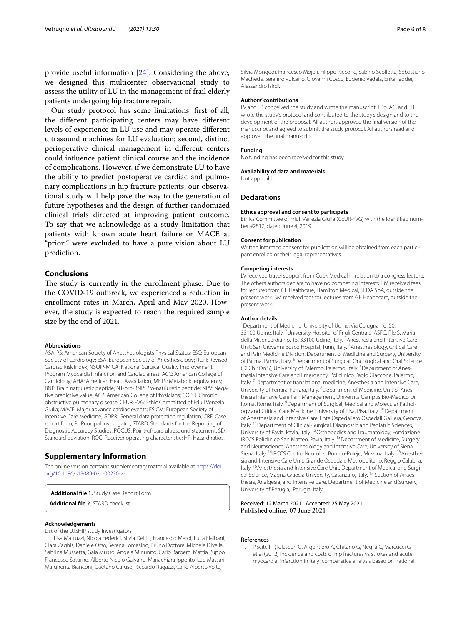provide useful information [\[24](#page-6-21)]. Considering the above, we designed this multicenter observational study to assess the utility of LU in the management of frail elderly patients undergoing hip fracture repair.

Our study protocol has some limitations: frst of all, the diferent participating centers may have diferent levels of experience in LU use and may operate diferent ultrasound machines for LU evaluation; second, distinct perioperative clinical management in diferent centers could infuence patient clinical course and the incidence of complications. However, if we demonstrate LU to have the ability to predict postoperative cardiac and pulmonary complications in hip fracture patients, our observational study will help pave the way to the generation of future hypotheses and the design of further randomized clinical trials directed at improving patient outcome. To say that we acknowledge as a study limitation that patients with known acute heart failure or MACE at "priori" were excluded to have a pure vision about LU prediction.

## **Conclusions**

The study is currently in the enrollment phase. Due to the COVID-19 outbreak, we experienced a reduction in enrollment rates in March, April and May 2020. However, the study is expected to reach the required sample size by the end of 2021.

#### **Abbreviations**

ASA-PS: American Society of Anesthesiologists Physical Status; ESC: European Society of Cardiology; ESA: European Society of Anesthesiology; RCRI: Revised Cardiac Risk Index; NSQIP-MICA: National Surgical Quality Improvement Program Myocardial Infarction and Cardiac arrest; ACC: American College of Cardiology; AHA: American Heart Association; METS: Metabolic equivalents; BNP: Brain natriuretic peptide; NT-pro-BNP: Pro-natriuretic peptide; NPV: Negative predictive value; ACP: American College of Physicians; COPD: Chronic obstructive pulmonary disease; CEUR-FVG: Ethic Committed of Friuli Venezia Giulia; MACE: Major advance cardiac events; ESICM: European Society of Intensive Care Medicine; GDPR: General data protection regulation; CRF: Case report form; PI: Principal investigator; STARD: Standards for the Reporting of Diagnostic Accuracy Studies; POCUS: Point-of-care ultrasound statement; SD: Standard deviation; ROC: Receiver operating characteristic; HR: Hazard ratios.

## **Supplementary Information**

The online version contains supplementary material available at [https://doi.](https://doi.org/10.1186/s13089-021-00230-w) [org/10.1186/s13089-021-00230-w.](https://doi.org/10.1186/s13089-021-00230-w)

<span id="page-5-2"></span><span id="page-5-1"></span>**Additional fle 1.** Study Case Report Form. **Additional fle 2.** STARD checklist.

#### **Acknowledgements**

List of the LUSHIP study investigators

Lisa Mattuzzi, Nicola Federici, Silvia Delrio, Francesco Meroi, Luca Flaibani, Clara Zaghis, Daniele Orso, Serena Tomasino, Bruno Dottore, Michele Divella, Sabrina Mussetta, Gaia Musso, Angela Minunno, Carlo Barbero, Mattia Puppo, Francesco Saturno, Alberto Nicolò Galvano, Mariachiara Ippolito, Leo Massari, Margherita Bianconi, Gaetano Caruso, Riccardo Ragazzi, Carlo Alberto Volta,

Silvia Mongodi, Francesco Mojoli, Filippo Riccone, Sabino Scolletta, Sebastiano Macheda, Serafno Vulcano, Giovanni Cosco, Eugenio Vadalà, Erika Taddei, Alessandro Isirdi.

#### **Authors' contributions**

LV and TB conceived the study and wrote the manuscript; EBo, AC, and EB wrote the study's protocol and contributed to the study's design and to the development of the proposal. All authors approved the fnal version of the manuscript and agreed to submit the study protocol. All authors read and approved the fnal manuscript.

#### **Funding**

No funding has been received for this study.

#### **Availability of data and materials**

Not applicable.

#### **Declarations**

#### **Ethics approval and consent to participate**

Ethics Committee of Friuli Venezia Giulia (CEUR-FVG) with the identifed number #2817, dated June 4, 2019.

#### **Consent for publication**

Written informed consent for publication will be obtained from each participant enrolled or their legal representatives.

#### **Competing interests**

LV received travel support from Cook Medical in relation to a congress lecture. The others authors declare to have no competing interests. FM received fees for lectures from GE Healthcare, Hamilton Medical, SEDA SpA, outside the present work. SM received fees for lectures from GE Healthcare, outside the present work.

#### **Author details**

<sup>1</sup> Department of Medicine, University of Udine, Via Colugna no. 50, 33100 Udine, Italy. <sup>2</sup> University-Hospital of Friuli Centrale, ASFC, P.le S. Maria della Misericordia no. 15, 33100 Udine, Italy. <sup>3</sup> Anesthesia and Intensive Care Unit, San Giovanni Bosco Hospital, Turin, Italy. <sup>4</sup> Anesthesiology, Critical Care and Pain Medicine Division, Department of Medicine and Surgery, University of Parma, Parma, Italy. <sup>5</sup> Department of Surgical, Oncological and Oral Science (Di.Chir.On.S), University of Palermo, Palermo, Italy. <sup>6</sup> Department of Anesthesia Intensive Care and Emergency, Policlinico Paolo Giaccone, Palermo, Italy.<sup>7</sup> Department of translational medicine, Anesthesia and Intensive Care, University of Ferrara, Ferrara, Italy. <sup>8</sup> Department of Medicine, Unit of Anesthesia Intensive Care Pain Management, Università Campus Bio-Medico Di Roma, Rome, Italy. <sup>9</sup> Department of Surgical, Medical and Molecular Pathology and Critical Care Medicine, University of Pisa, Pisa, Italy. 10Department of Anesthesia and Intensive Care, Ente Ospedaliero Ospedali Galliera, Genova, Italy. 11Department of Clinical-Surgical, Diagnostic and Pediatric Sciences, University of Pavia, Pavia, Italy. 12Orthopedics and Traumatology, Fondazione IRCCS Policlinico San Matteo, Pavia, Italy. 13Department of Medicine, Surgery and Neuroscience, Anesthesiology and Intensive Care, University of Siena, Siena, Italy. <sup>14</sup>IRCCS Centro Neurolesi Bonino-Pulejo, Messina, Italy. <sup>15</sup>Anesthesia and Intensive Care Unit, Grande Ospedale Metropolitano, Reggio Calabria, Italy. <sup>16</sup> Anesthesia and Intensive Care Unit, Department of Medical and Surgical Science, Magna Graecia University, Catanzaro, Italy. 17 Section of Anaesthesia, Analgesia, and Intensive Care, Department of Medicine and Surgery, University of Perugia, Perugia, Italy.

#### Received: 12 March 2021 Accepted: 25 May 2021 Published online: 07 June 2021

#### **References**

<span id="page-5-0"></span>1. Piscitelli P, Iolascon G, Argentiero A, Chitano G, Neglia C, Marcucci G et al (2012) Incidence and costs of hip fractures vs strokes and acute myocardial infarction in Italy: comparative analysis based on national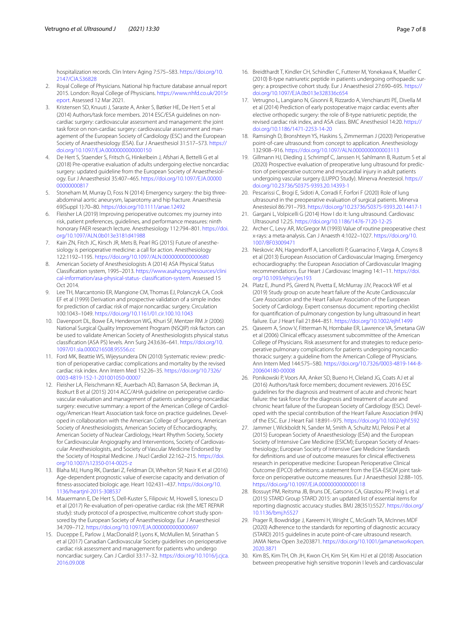hospitalization records. Clin Interv Aging 7:575–583. [https://doi.org/10.](https://doi.org/10.2147/CIA.S36828) [2147/CIA.S36828](https://doi.org/10.2147/CIA.S36828)

- <span id="page-6-0"></span>2. Royal College of Physicians. National hip fracture database annual report 2015. London: Royal College of Physicians. [https://www.nhfd.co.uk/2015r](https://www.nhfd.co.uk/2015report) [eport](https://www.nhfd.co.uk/2015report). Assessed 12 Mar 2021.
- <span id="page-6-1"></span>3. Kristensen SD, Knuuti J, Saraste A, Anker S, Bøtker HE, De Hert S et al (2014) Authors/task force members. 2014 ESC/ESA guidelines on noncardiac surgery: cardiovascular assessment and management: the joint task force on non-cardiac surgery: cardiovascular assessment and management of the European Society of Cardiology (ESC) and the European Society of Anaesthesiology (ESA). Eur J Anaesthesiol 31:517–573. [https://](https://doi.org/10.1097/EJA.0000000000000150) [doi.org/10.1097/EJA.0000000000000150](https://doi.org/10.1097/EJA.0000000000000150)
- <span id="page-6-2"></span>4. De Hert S, Staender S, Fritsch G, Hinkelbein J, Afshari A, Bettelli G et al (2018) Pre-operative evaluation of adults undergoing elective noncardiac surgery: updated guideline from the European Society of Anaesthesiology. Eur J Anaesthesiol 35:407–465. [https://doi.org/10.1097/EJA.00000](https://doi.org/10.1097/EJA.0000000000000817) [00000000817](https://doi.org/10.1097/EJA.0000000000000817)
- <span id="page-6-3"></span>5. Stoneham M, Murray D, Foss N (2014) Emergency surgery: the big threeabdominal aortic aneurysm, laparotomy and hip fracture. Anaesthesia 69(Suppl 1):70–80.<https://doi.org/10.1111/anae.12492>
- <span id="page-6-4"></span>6. Fleisher LA (2019) Improving perioperative outcomes: my journey into risk, patient preferences, guidelines, and performance measures: ninth honorary FAER research lecture. Anesthesiology 112:794–801. [https://doi.](https://doi.org/10.1097/ALN.0b013e3181d41988) [org/10.1097/ALN.0b013e3181d41988](https://doi.org/10.1097/ALN.0b013e3181d41988)
- <span id="page-6-5"></span>7. Kain ZN, Fitch JC, Kirsch JR, Mets B, Pearl RG (2015) Future of anesthesiology is perioperative medicine: a call for action. Anesthesiology 122:1192–1195. <https://doi.org/10.1097/ALN.0000000000000680>
- <span id="page-6-6"></span>8. American Society of Anesthesiologists A (2014) ASA Physical Status Classifcation system, 1995–2013. [https://www.asahq.org/resources/clini](https://www.asahq.org/resources/clinical-information/asa-physical-status-%20classification-system) [cal-information/asa-physical-status- classifcation-system.](https://www.asahq.org/resources/clinical-information/asa-physical-status-%20classification-system) Assessed 15 Oct 2014.
- <span id="page-6-7"></span>9. Lee TH, Marcantonio ER, Mangione CM, Thomas EJ, Polanczyk CA, Cook EF et al (1999) Derivation and prospective validation of a simple index for prediction of cardiac risk of major noncardiac surgery. Circulation 100:1043–1049. <https://doi.org/10.1161/01.cir.100.10.1043>
- <span id="page-6-8"></span>10. Davenport DL, Bowe EA, Henderson WG, Khuri SF, Mentzer RM Jr (2006) National Surgical Quality Improvement Program (NSQIP) risk factors can be used to validate American Society of Anesthesiologists physical status classifcation (ASA PS) levels. Ann Surg 243:636–641. [https://doi.org/10.](https://doi.org/10.1097/01.sla.0000216508.95556.cc) [1097/01.sla.0000216508.95556.cc](https://doi.org/10.1097/01.sla.0000216508.95556.cc)
- <span id="page-6-9"></span>11. Ford MK, Beattie WS, Wijeysundera DN (2010) Systematic review: prediction of perioperative cardiac complications and mortality by the revised cardiac risk index. Ann Intern Med 152:26–35. [https://doi.org/10.7326/](https://doi.org/10.7326/0003-4819-152-1-201001050-00007) [0003-4819-152-1-201001050-00007](https://doi.org/10.7326/0003-4819-152-1-201001050-00007)
- <span id="page-6-10"></span>12. Fleisher LA, Fleischmann KE, Auerbach AD, Barnason SA, Beckman JA, Bozkurt B et al (2015) 2014 ACC/AHA guideline on perioperative cardiovascular evaluation and management of patients undergoing noncardiac surgery: executive summary: a report of the American College of Cardiology/American Heart Association task force on practice guidelines. Developed in collaboration with the American College of Surgeons, American Society of Anesthesiologists, American Society of Echocardiography, American Society of Nuclear Cardiology, Heart Rhythm Society, Society for Cardiovascular Angiography and Interventions, Society of Cardiovascular Anesthesiologists, and Society of Vascular Medicine Endorsed by the Society of Hospital Medicine. J Nucl Cardiol 22:162–215. [https://doi.](https://doi.org/10.1007/s12350-014-0025-z) [org/10.1007/s12350-014-0025-z](https://doi.org/10.1007/s12350-014-0025-z)
- <span id="page-6-11"></span>13. Blaha MJ, Hung RK, Dardari Z, Feldman DI, Whelton SP, Nasir K et al (2016) Age-dependent prognostic value of exercise capacity and derivation of ftness-associated biologic age. Heart 102:431–437. [https://doi.org/10.](https://doi.org/10.1136/heartjnl-2015-308537) [1136/heartjnl-2015-308537](https://doi.org/10.1136/heartjnl-2015-308537)
- <span id="page-6-12"></span>14. Mauermann E, De Hert S, Dell-Kuster S, Filipovic M, Howell S, Ionescu D et al (2017) Re-evaluation of peri-operative cardiac risk (the MET REPAIR study): study protocol of a prospective, multicentre cohort study sponsored by the European Society of Anaesthesiology. Eur J Anaesthesiol 34:709–712. <https://doi.org/10.1097/EJA.0000000000000697>
- <span id="page-6-13"></span>15. Duceppe E, Parlow J, MacDonald P, Lyons K, McMullen M, Srinathan S et al (2017) Canadian Cardiovascular Society guidelines on perioperative cardiac risk assessment and management for patients who undergo noncardiac surgery. Can J Cardiol 33:17–32. [https://doi.org/10.1016/j.cjca.](https://doi.org/10.1016/j.cjca.2016.09.008) [2016.09.008](https://doi.org/10.1016/j.cjca.2016.09.008)
- <span id="page-6-14"></span>16. Breidthardt T, Kindler CH, Schindler C, Futterer M, Yonekawa K, Mueller C (2010) B-type natriuretic peptide in patients undergoing orthopaedic surgery: a prospective cohort study. Eur J Anaesthesiol 27:690–695. [https://](https://doi.org/10.1097/EJA.0b013e328336c654) [doi.org/10.1097/EJA.0b013e328336c654](https://doi.org/10.1097/EJA.0b013e328336c654)
- <span id="page-6-15"></span>17. Vetrugno L, Langiano N, Gisonni R, Rizzardo A, Venchiarutti PE, Divella M et al (2014) Prediction of early postoperative major cardiac events after elective orthopedic surgery: the role of B-type natriuretic peptide, the revised cardiac risk index, and ASA class. BMC Anesthesiol 14:20. [https://](https://doi.org/10.1186/1471-2253-14-20) [doi.org/10.1186/1471-2253-14-20](https://doi.org/10.1186/1471-2253-14-20)
- <span id="page-6-16"></span>18. Ramsingh D, Bronshteyn YS, Haskins S, Zimmerman J (2020) Perioperative point-of-care ultrasound: from concept to application. Anesthesiology 132:908–916. <https://doi.org/10.1097/ALN.0000000000003113>
- <span id="page-6-28"></span>19. Gillmann HJ, Dieding J, Schrimpf C, Janssen H, Sahlmann B, Rustum S et al (2020) Prospective evaluation of preoperative lung ultrasound for prediction of perioperative outcome and myocardial injury in adult patients undergoing vascular surgery (LUPPO Study). Minerva Anestesiol. [https://](https://doi.org/10.23736/S0375-9393.20.14393-1) [doi.org/10.23736/S0375-9393.20.14393-1](https://doi.org/10.23736/S0375-9393.20.14393-1)
- <span id="page-6-17"></span>20. Pescarissi C, Brogi E, Sidoti A, Corradi F, Forfori F (2020) Role of lung ultrasound in the preoperative evaluation of surgical patients. Minerva Anestesiol 86:791–793.<https://doi.org/10.23736/S0375-9393.20.14417-1>
- <span id="page-6-18"></span>21. Gargani L, Volpicelli G (2014) How I do it: lung ultrasound. Cardiovasc Ultrasound 12:25.<https://doi.org/10.1186/1476-7120-12-25>
- <span id="page-6-19"></span>22. Archer C, Levy AR, McGregor M (1993) Value of routine preoperative chest x-rays: a meta-analysis. Can J Anaesth 4:1022–1027. [https://doi.org/10.](https://doi.org/10.1007/BF03009471) [1007/BF03009471](https://doi.org/10.1007/BF03009471)
- <span id="page-6-20"></span>23. Neskovic AN, Hagendorff A, Lancellotti P, Guarracino F, Varga A, Cosyns B et al (2013) European Association of Cardiovascular Imaging. Emergency echocardiography: the European Association of Cardiovascular Imaging recommendations. Eur Heart J Cardiovasc Imaging 14:1–11. [https://doi.](https://doi.org/10.1093/ehjci/jes193) [org/10.1093/ehjci/jes193](https://doi.org/10.1093/ehjci/jes193)
- <span id="page-6-21"></span>24. Platz E, Jhund PS, Girerd N, Pivetta E, McMurray JJV, Peacock WF et al (2019) Study group on acute heart failure of the Acute Cardiovascular Care Association and the Heart Failure Association of the European Society of Cardiology. Expert consensus document: reporting checklist for quantifcation of pulmonary congestion by lung ultrasound in heart failure. Eur J Heart Fail 21:844–851.<https://doi.org/10.1002/ejhf.1499>
- <span id="page-6-22"></span>25. Qaseem A, Snow V, Fitterman N, Hornbake ER, Lawrence VA, Smetana GW et al (2006) Clinical efficacy assessment subcommittee of the American College of Physicians. Risk assessment for and strategies to reduce perioperative pulmonary complications for patients undergoing noncardiothoracic surgery: a guideline from the American College of Physicians. Ann Intern Med 144:575–580. [https://doi.org/10.7326/0003-4819-144-8-](https://doi.org/10.7326/0003-4819-144-8-200604180-00008) [200604180-00008](https://doi.org/10.7326/0003-4819-144-8-200604180-00008)
- <span id="page-6-23"></span>26. Ponikowski P, Voors AA, Anker SD, Bueno H, Cleland JG, Coats AJ et al (2016) Authors/task force members; document reviewers. 2016 ESC guidelines for the diagnosis and treatment of acute and chronic heart failure: the task force for the diagnosis and treatment of acute and chronic heart failure of the European Society of Cardiology (ESC). Developed with the special contribution of the Heart Failure Association (HFA) of the ESC. Eur J Heart Fail 18:891–975.<https://doi.org/10.1002/ejhf.592>
- <span id="page-6-24"></span>27. Jammer I, Wickboldt N, Sander M, Smith A, Schultz MJ, Pelosi P et al (2015) European Society of Anaesthesiology (ESA) and the European Society of Intensive Care Medicine (ESICM); European Society of Anaesthesiology; European Society of Intensive Care Medicine Standards for defnitions and use of outcome measures for clinical efectiveness research in perioperative medicine: European Perioperative Clinical Outcome (EPCO) defnitions: a statement from the ESA-ESICM joint taskforce on perioperative outcome measures. Eur J Anaesthesiol 32:88–105. <https://doi.org/10.1097/EJA.0000000000000118>
- <span id="page-6-25"></span>28. Bossuyt PM, Reitsma JB, Bruns DE, Gatsonis CA, Glasziou PP, Irwig L et al (2015) STARD Group STARD 2015: an updated list of essential items for reporting diagnostic accuracy studies. BMJ 28(351):5527. [https://doi.org/](https://doi.org/10.1136/bmj.h5527) [10.1136/bmj.h5527](https://doi.org/10.1136/bmj.h5527)
- <span id="page-6-26"></span>29. Prager R, Bowdridge J, Kareemi H, Wright C, McGrath TA, McInnes MDF (2020) Adherence to the standards for reporting of diagnostic accuracy (STARD) 2015 guidelines in acute point-of-care ultrasound research. JAMA Netw Open 3:e203871. [https://doi.org/10.1001/jamanetworkopen.](https://doi.org/10.1001/jamanetworkopen.2020.3871) [2020.3871](https://doi.org/10.1001/jamanetworkopen.2020.3871)
- <span id="page-6-27"></span>30. Kim BS, Kim TH, Oh JH, Kwon CH, Kim SH, Kim HJ et al (2018) Association between preoperative high sensitive troponin I levels and cardiovascular